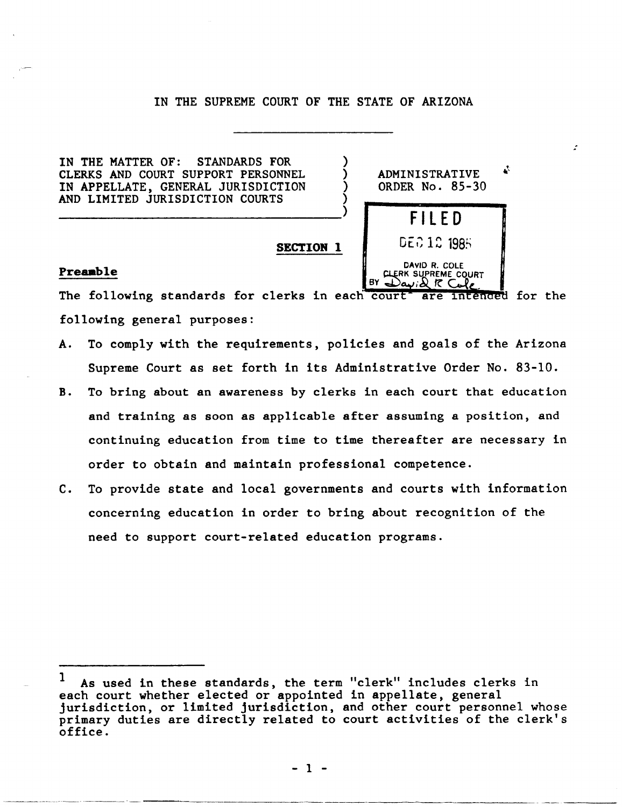# IN THE SUPREME COURT OF THE STATE OF ARIZONA

IN THE MATTER OF: STANDARDS FOR CLERKS AND COURT SUPPORT PERSONNEL IN APPELLATE, GENERAL JURISDICTION AND LIMITED JURISDICTION COURTS

) **ADMINISTRATIVE** ) ) ORDER No. 85-30 ) ---------------------------------) **FilED**  DEC 12 1985 **SECTION 1**  DAVID R. COLE<br>CLERK SUPREME COURT

:

## Preamble

.----------~-- ------------

The following standards for clerks in each court are intended for the following general purposes:

- A. To comply with the requirements, policies and goals of the Arizona Supreme Court as set forth in its Administrative Order No. 83-10.
- B. To bring about an awareness by clerks in each court that education and training as soon as applicable after assuming a position, and continuing education from time to time thereafter are necessary in order to obtain and maintain professional competence.
- C. To provide state and local governments and courts with information concerning education in order to bring about recognition of the need to support court-related education programs.

<sup>1</sup> As used in these standards, the term "clerk" includes clerks in each court whether elected or appointed in appellate, general jurisdiction, or limited jurisdiction, and other court personnel whose primary duties are directly related to court activities of the clerk's office.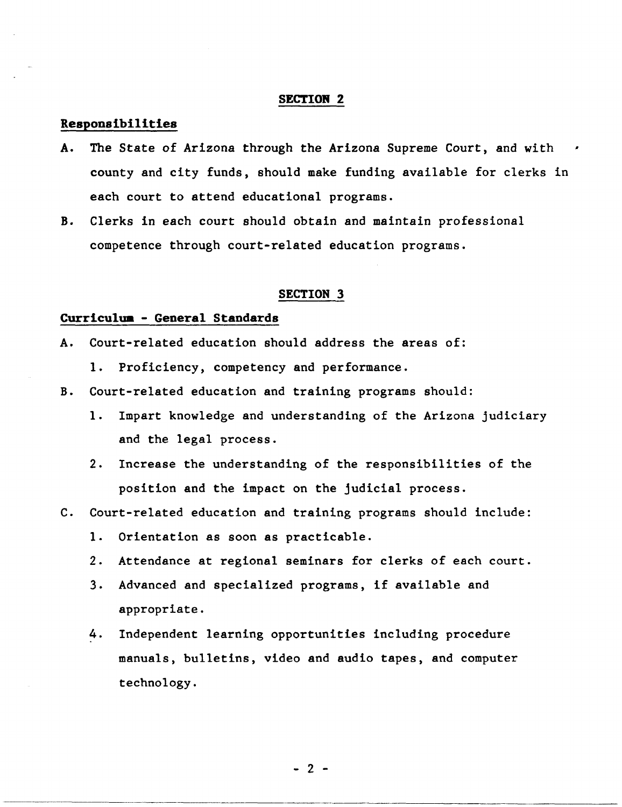## Responsibilities

- A. The State of Arizona through the Arizona Supreme Court, and with county and city funds, should make funding available for clerks in each court to attend educational programs.
- B. Clerks in each court should obtain and maintain professional competence through court-related education programs.

#### SECTION 3

# Curriculua - General Standards

- A. Court-related education should address the areas of:
	- 1. Proficiency, competency and performance.
- B. Court-related education and training programs should:
	- 1. Impart knowledge and understanding of the Arizona judiciary and the legal process.
	- 2. Increase the understanding of the responsibilities of the position and the impact on the judicial process.
- C. Court-related education and training programs should include:
	- 1. Orientation as soon as practicable.
	- 2. Attendance at regional seminars for clerks of each court.
	- 3. Advanced and specialized programs, if available and appropriate.
	- 4. Independent learning opportunities including procedure manuals, bulletins, video and audio tapes, and computer technology.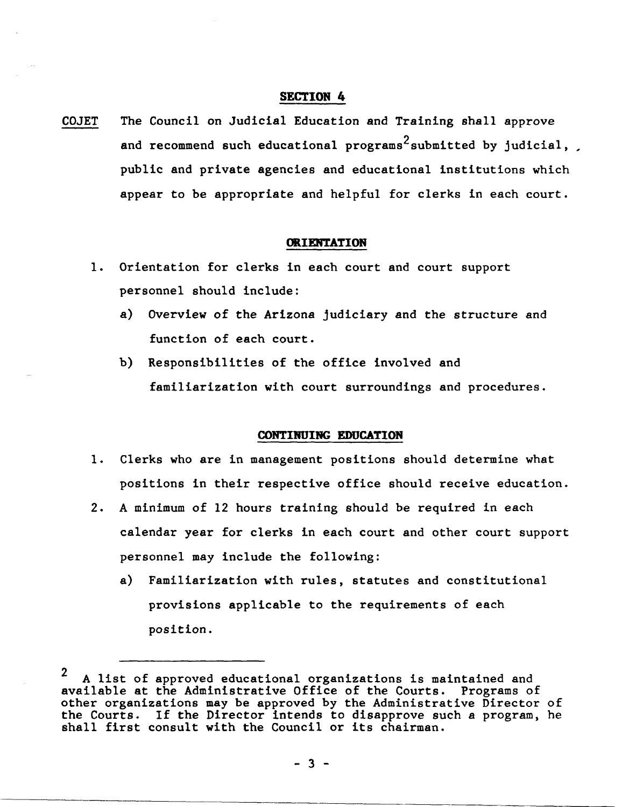COJET The Council on Judicial Education and Training shall approve and recommend such educational programs<sup>2</sup> submitted by judicial, public and private agencies and educational institutions which appear to be appropriate and helpful for clerks in each court.

### **ORIENTATION**

- 1. Orientation for clerks in each court and court support personnel should include:
	- a) Overview of the Arizona judiciary and the structure and function of each court.
	- b) Responsibilities of the office involved and familiarization with court surroundings and procedures.

### **CONTINUING EDUCATION**

- 1. Clerks who are in management positions should determine what positions in their respective office should receive education.
- 2. A minimum of 12 hours training should be required in each calendar year for clerks in each court and other court support personnel may include the following:
	- a) Familiarization with rules, statutes and constitutional provisions applicable to the requirements of each position.

<sup>2</sup> A list of approved educational organizations is maintained and available at the Administrative Office of the Courts. Programs of other organizations may be approved by the Administrative Director of the Courts. If the Director intends to disapprove such a program, he shall first consult with the Council or its chairman.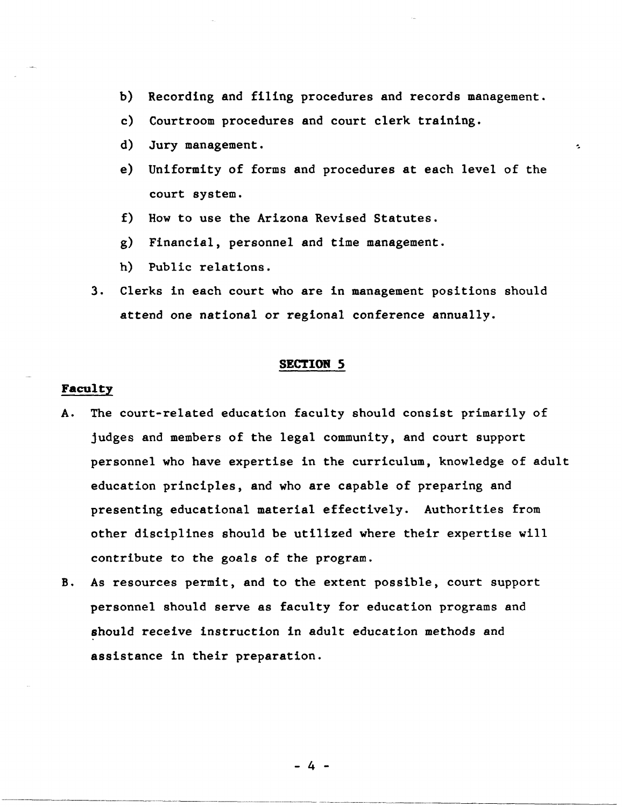- b) Recording and filing procedures and records management.
- c) Courtroom procedures and court clerk training.
- d) Jury management.  $\blacksquare$
- e) Uniformity of forms and procedures at each level of the court system.
- f) How to use the Arizona Revised Statutes.
- g) Financial, personnel and time management.
- h) Public relations.
- 3. Clerks in each court who are in management positions should attend one national or regional conference annually.

### Faculty

- A. The court-related education faculty should consist primarily of judges and members of the legal community, and court support personnel who have expertise in the curriculum, knowledge of adult education principles, and who are capable of preparing and presenting educational material effectively. Authorities from other disciplines should be utilized where their expertise will contribute to the goals of the program.
- B. As resources permit, and to the extent possible, court support personnel should serve as faculty for education programs and should receive instruction in adult education methods and assistance in their preparation.

- 4 -